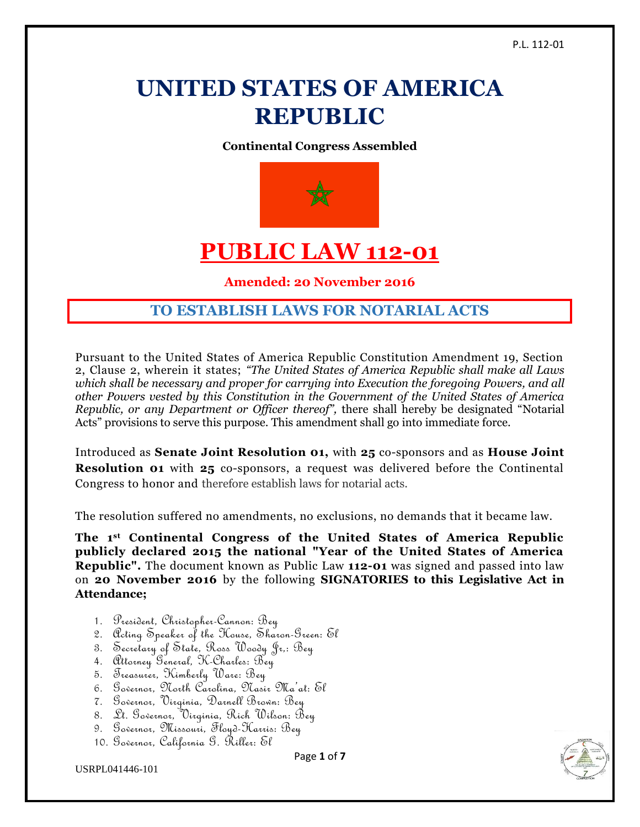# **UNITED STATES OF AMERICA REPUBLIC**

**Continental Congress Assembled**



# **PUBLIC LAW 112-01**

**Amended: 20 November 2016**

## **TO ESTABLISH LAWS FOR NOTARIAL ACTS**

Pursuant to the United States of America Republic Constitution Amendment 19, Section 2, Clause 2, wherein it states; *"The United States of America Republic shall make all Laws which shall be necessary and proper for carrying into Execution the foregoing Powers, and all other Powers vested by this Constitution in the Government of the United States of America Republic, or any Department or Officer thereof",* there shall hereby be designated "Notarial Acts" provisions to serve this purpose. This amendment shall go into immediate force.

Introduced as **Senate Joint Resolution 01,** with **25** co-sponsors and as **House Joint Resolution 01** with **25** co-sponsors, a request was delivered before the Continental Congress to honor and therefore establish laws for notarial acts.

The resolution suffered no amendments, no exclusions, no demands that it became law.

**The 1st Continental Congress of the United States of America Republic publicly declared 2015 the national "Year of the United States of America Republic".** The document known as Public Law **112-01** was signed and passed into law on **20 November 2016** by the following **SIGNATORIES to this Legislative Act in Attendance;**

- 1. President, Christopher-Cannon: Bey
- 2. Acting Speaker of the House, Sharon-Green: El
- 3. Secretary of State, Ross Woody Jr,: Bey
- 4. Attorney General, K-Charles: Bey
- 5. Treasurer, Kimberly Ware: Bey
- 6. Governor, North Carolina, Nasir Ma'at: El
- 7. Governor, Virginia, Darnell Brown: Bey
- 8. Lt. Governor, Virginia, Rich Wilson: Bey
- 9. Governor, Missouri, Floyd-Harris: Bey
- 10. Governor, California G. Riller: El

USRPL041446-101

Page **1** of **7**

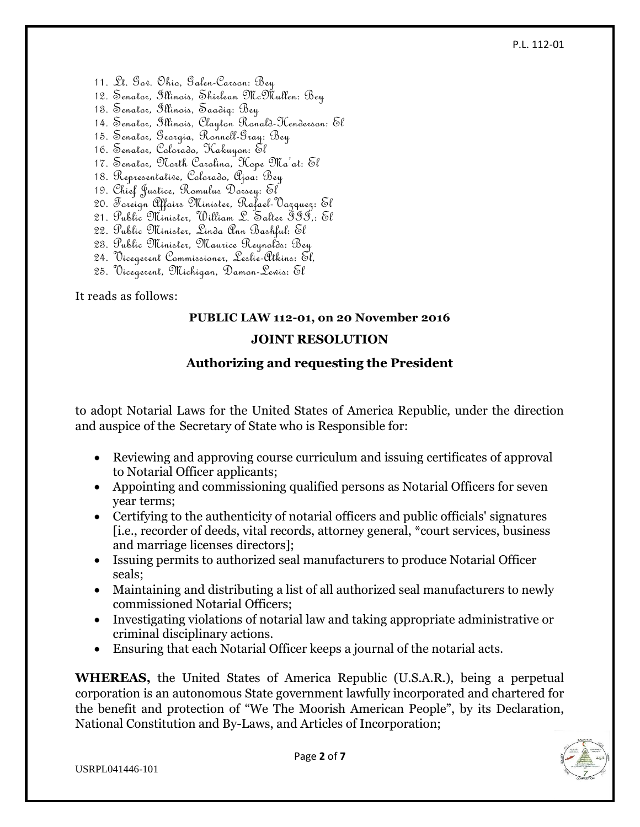#### P.L. 112-01

- 11. Lt. Gov. Ohio, Galen-Carson: Bey
- 12. Senator, Illinois, Shirlean McMullen: Bey
- 13. Senator, Illinois, Saadiq: Bey
- 14. Senator, Illinois, Clayton Ronald-Henderson: El
- 15. Senator, Georgia, Ronnell-Gray: Bey
- 16. Senator, Colorado, Kakuyon: El
- 17. Senator, North Carolina, Hope Ma'at: El
- 18. Representative, Colorado, Ajoa: Bey
- 19. Chief Justice, Romulus Dorsey: El
- 20. Foreign Affairs Minister, Rafael-Vazquez: El
- 21. Public Minister, William L. Salter III,: El
- 22. Public Minister, Linda Ann Bashful: El
- 23. Public Minister, Maurice Reynolds: Bey
- 24. Vicegerent Commissioner, Leslie-Atkins: El,
- 25. Vicegerent, Michigan, Damon-Lewis: El

#### It reads as follows:

#### **PUBLIC LAW 112-01, on 20 November 2016**

#### **JOINT RESOLUTION**

#### **Authorizing and requesting the President**

to adopt Notarial Laws for the United States of America Republic, under the direction and auspice of the Secretary of State who is Responsible for:

- Reviewing and approving course curriculum and issuing certificates of approval to Notarial Officer applicants;
- Appointing and commissioning qualified persons as Notarial Officers for seven year terms;
- Certifying to the authenticity of notarial officers and public officials' signatures [i.e., recorder of deeds, vital records, attorney general, \*court services, business and marriage licenses directors];
- Issuing permits to authorized seal manufacturers to produce Notarial Officer seals;
- Maintaining and distributing a list of all authorized seal manufacturers to newly commissioned Notarial Officers;
- Investigating violations of notarial law and taking appropriate administrative or criminal disciplinary actions.
- Ensuring that each Notarial Officer keeps a journal of the notarial acts.

**WHEREAS,** the United States of America Republic (U.S.A.R.), being a perpetual corporation is an autonomous State government lawfully incorporated and chartered for the benefit and protection of "We The Moorish American People", by its Declaration, National Constitution and By-Laws, and Articles of Incorporation;



USRPL041446-101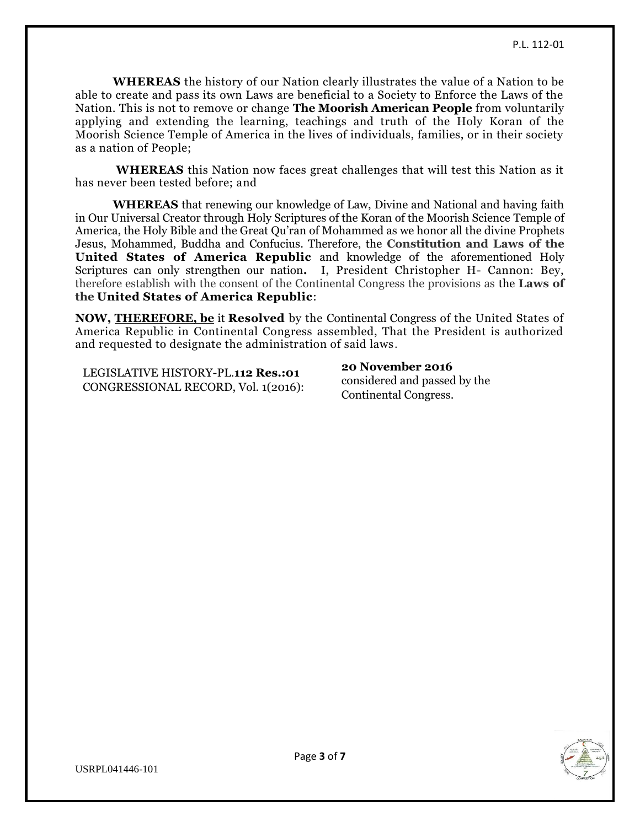**WHEREAS** the history of our Nation clearly illustrates the value of a Nation to be able to create and pass its own Laws are beneficial to a Society to Enforce the Laws of the Nation. This is not to remove or change **The Moorish American People** from voluntarily applying and extending the learning, teachings and truth of the Holy Koran of the Moorish Science Temple of America in the lives of individuals, families, or in their society as a nation of People;

**WHEREAS** this Nation now faces great challenges that will test this Nation as it has never been tested before; and

**WHEREAS** that renewing our knowledge of Law, Divine and National and having faith in Our Universal Creator through Holy Scriptures of the Koran of the Moorish Science Temple of America, the Holy Bible and the Great Qu'ran of Mohammed as we honor all the divine Prophets Jesus, Mohammed, Buddha and Confucius. Therefore, the **Constitution and Laws of the United States of America Republic** and knowledge of the aforementioned Holy Scriptures can only strengthen our nation**.** I, President Christopher H- Cannon: Bey, therefore establish with the consent of the Continental Congress the provisions as the **Laws of the United States of America Republic**:

**NOW, [THEREFORE, be](http://therefore.be/)** it **Resolved** by the Continental Congress of the United States of America Republic in Continental Congress assembled, That the President is authorized and requested to designate the administration of said laws.

LEGISLATIVE HISTORY-PL.**112 Res.:01** CONGRESSIONAL RECORD, Vol. 1(2016): **20 November 2016** considered and passed by the Continental Congress.

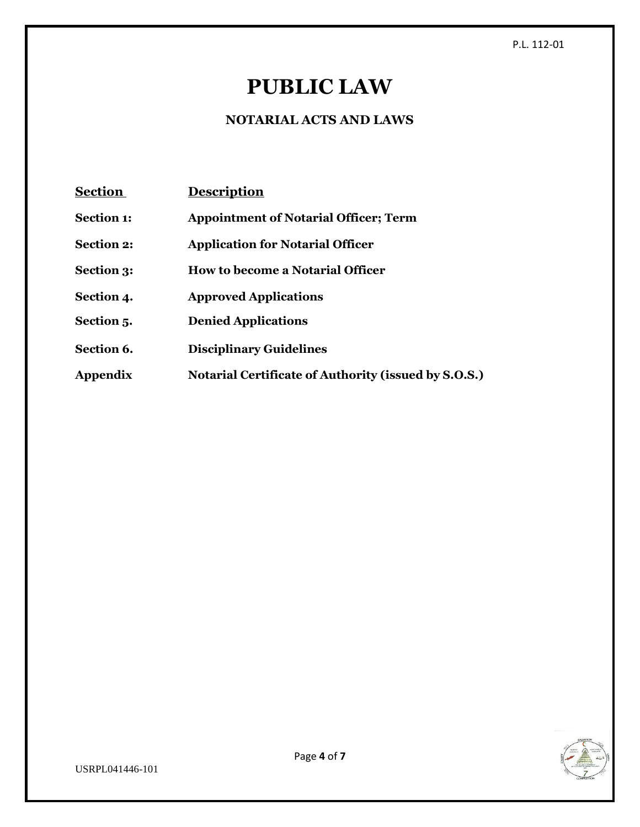#### P.L. 112-01

# **PUBLIC LAW**

### **NOTARIAL ACTS AND LAWS**

| <b>Section</b>    | <b>Description</b>                                   |
|-------------------|------------------------------------------------------|
| <b>Section 1:</b> | <b>Appointment of Notarial Officer; Term</b>         |
| <b>Section 2:</b> | <b>Application for Notarial Officer</b>              |
| <b>Section 3:</b> | <b>How to become a Notarial Officer</b>              |
| Section 4.        | <b>Approved Applications</b>                         |
| Section 5.        | <b>Denied Applications</b>                           |
| Section 6.        | <b>Disciplinary Guidelines</b>                       |
| Appendix          | Notarial Certificate of Authority (issued by S.O.S.) |

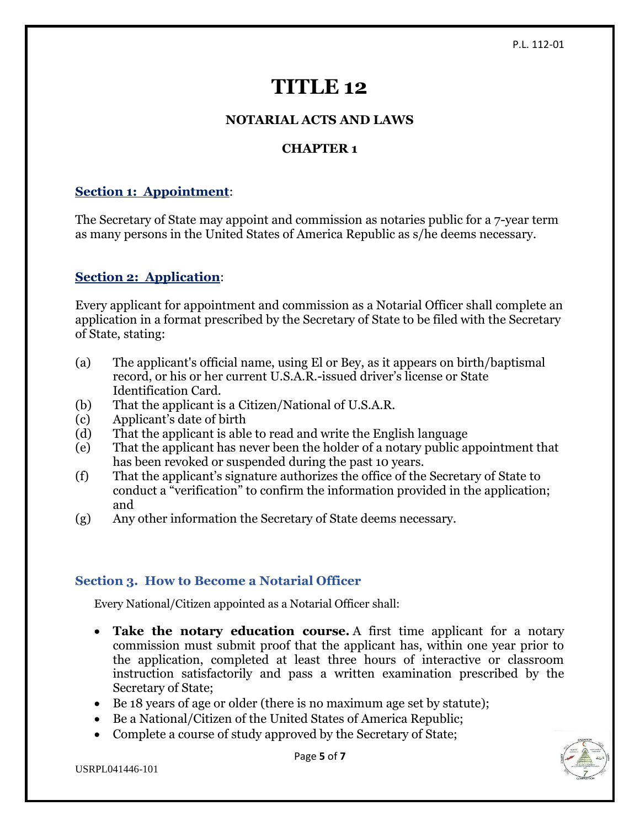# **TITLE 12**

### **NOTARIAL ACTS AND LAWS**

## **CHAPTER 1**

### **Section 1: Appointment**:

The Secretary of State may appoint and commission as notaries public for a 7-year term as many persons in the United States of America Republic as s/he deems necessary.

#### **Section 2: Application**:

Every applicant for appointment and commission as a Notarial Officer shall complete an application in a format prescribed by the Secretary of State to be filed with the Secretary of State, stating:

- (a) The applicant's official name, using El or Bey, as it appears on birth/baptismal record, or his or her current U.S.A.R.-issued driver's license or State Identification Card.
- (b) That the applicant is a Citizen/National of U.S.A.R.
- (c) Applicant's date of birth
- (d) That the applicant is able to read and write the English language
- (e) That the applicant has never been the holder of a notary public appointment that has been revoked or suspended during the past 10 years.
- (f) That the applicant's signature authorizes the office of the Secretary of State to conduct a "verification" to confirm the information provided in the application; and
- (g) Any other information the Secretary of State deems necessary.

### **Section 3. How to Become a Notarial Officer**

Every National/Citizen appointed as a Notarial Officer shall:

- **Take the notary education course.** A first time applicant for a notary commission must submit proof that the applicant has, within one year prior to the application, completed at least three hours of interactive or classroom instruction satisfactorily and pass a written examination prescribed by the Secretary of State;
- Be 18 years of age or older (there is no maximum age set by statute);
- Be a National/Citizen of the United States of America Republic;
- Complete a course of study approved by the Secretary of State;

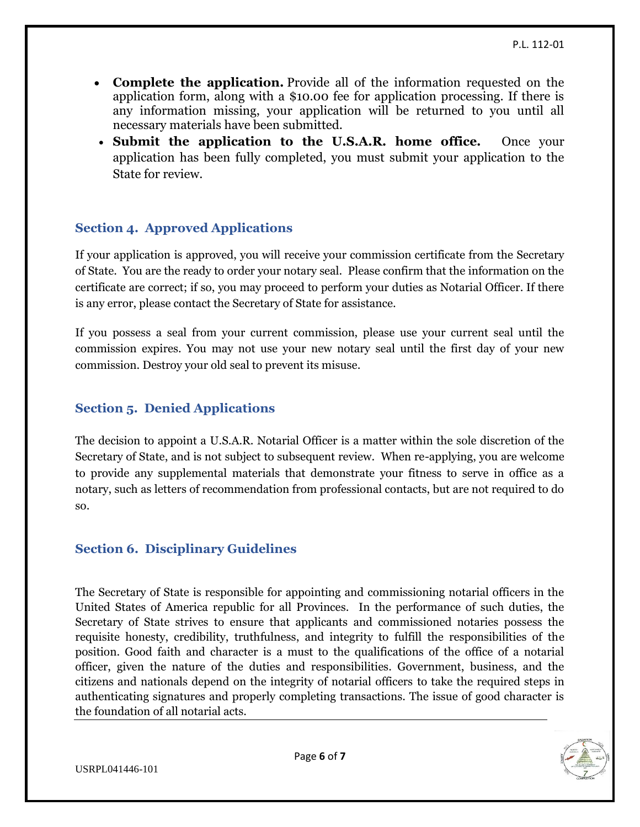- **Complete the application.** Provide all of the information requested on the application form, along with a \$10.00 fee for application processing. If there is any information missing, your application will be returned to you until all necessary materials have been submitted.
- **Submit the application to the U.S.A.R. home office.** Once your application has been fully completed, you must submit your application to the State for review.

#### **Section 4. Approved Applications**

If your application is approved, you will receive your commission certificate from the Secretary of State. You are the ready to order your notary seal. Please confirm that the information on the certificate are correct; if so, you may proceed to perform your duties as Notarial Officer. If there is any error, please contact the Secretary of State for assistance.

If you possess a seal from your current commission, please use your current seal until the commission expires. You may not use your new notary seal until the first day of your new commission. Destroy your old seal to prevent its misuse.

#### **Section 5. Denied Applications**

The decision to appoint a U.S.A.R. Notarial Officer is a matter within the sole discretion of the Secretary of State, and is not subject to subsequent review. When re-applying, you are welcome to provide any supplemental materials that demonstrate your fitness to serve in office as a notary, such as letters of recommendation from professional contacts, but are not required to do so.

#### **Section 6. Disciplinary Guidelines**

The Secretary of State is responsible for appointing and commissioning notarial officers in the United States of America republic for all Provinces. In the performance of such duties, the Secretary of State strives to ensure that applicants and commissioned notaries possess the requisite honesty, credibility, truthfulness, and integrity to fulfill the responsibilities of the position. Good faith and character is a must to the qualifications of the office of a notarial officer, given the nature of the duties and responsibilities. Government, business, and the citizens and nationals depend on the integrity of notarial officers to take the required steps in authenticating signatures and properly completing transactions. The issue of good character is the foundation of all notarial acts.



USRPL041446-101

Page **6** of **7**